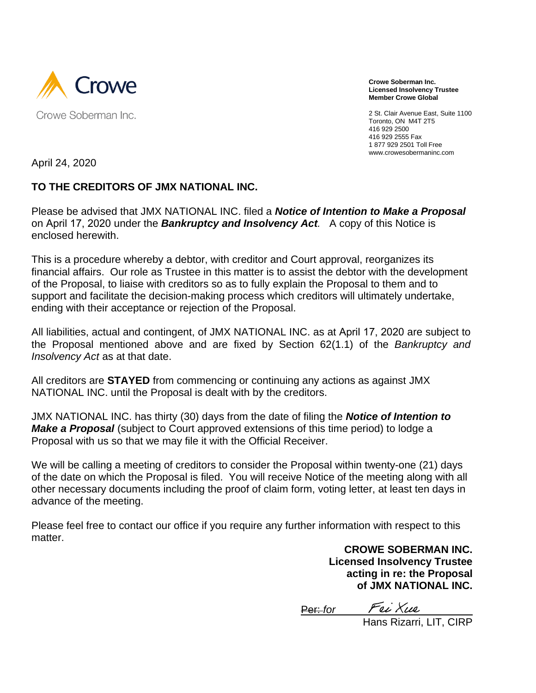

**Crowe Soberman Inc. Licensed Insolvency Trustee Member Crowe Global**

2 St. Clair Avenue East, Suite 1100 Toronto, ON M4T 2T5 416 929 2500 416 929 2555 Fax 1 877 929 2501 Toll Free www.crowesobermaninc.com

April 24, 2020

### **TO THE CREDITORS OF JMX NATIONAL INC.**

Please be advised that JMX NATIONAL INC. filed a *Notice of Intention to Make a Proposal* on April 17, 2020 under the *Bankruptcy and Insolvency Act.* A copy of this Notice is enclosed herewith.

This is a procedure whereby a debtor, with creditor and Court approval, reorganizes its financial affairs. Our role as Trustee in this matter is to assist the debtor with the development of the Proposal, to liaise with creditors so as to fully explain the Proposal to them and to support and facilitate the decision-making process which creditors will ultimately undertake, ending with their acceptance or rejection of the Proposal.

All liabilities, actual and contingent, of JMX NATIONAL INC. as at April 17, 2020 are subject to the Proposal mentioned above and are fixed by Section 62(1.1) of the *Bankruptcy and Insolvency Act* as at that date.

All creditors are **STAYED** from commencing or continuing any actions as against JMX NATIONAL INC. until the Proposal is dealt with by the creditors.

JMX NATIONAL INC. has thirty (30) days from the date of filing the *Notice of Intention to Make a Proposal* (subject to Court approved extensions of this time period) to lodge a Proposal with us so that we may file it with the Official Receiver.

We will be calling a meeting of creditors to consider the Proposal within twenty-one (21) days of the date on which the Proposal is filed. You will receive Notice of the meeting along with all other necessary documents including the proof of claim form, voting letter, at least ten days in advance of the meeting.

Please feel free to contact our office if you require any further information with respect to this matter.

> **CROWE SOBERMAN INC. Licensed Insolvency Trustee acting in re: the Proposal of JMX NATIONAL INC.**

Per: *for Fei Xue* 

Hans Rizarri, LIT, CIRP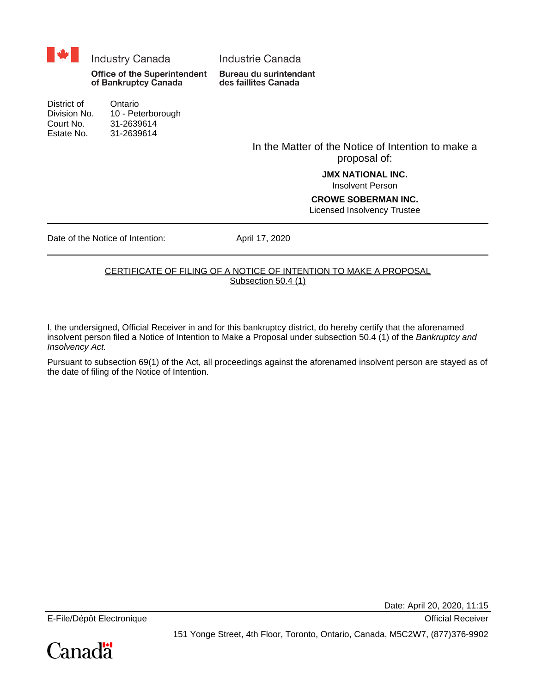

District of Ontario Division No. 10 - Peterborough Court No. 31-2639614 Estate No. 31-2639614

In the Matter of the Notice of Intention to make a proposal of:

> **JMX NATIONAL INC.** Insolvent Person

#### **CROWE SOBERMAN INC.** Licensed Insolvency Trustee

Date of the Notice of Intention: April 17, 2020

#### CERTIFICATE OF FILING OF A NOTICE OF INTENTION TO MAKE A PROPOSAL Subsection 50.4 (1)

I, the undersigned, Official Receiver in and for this bankruptcy district, do hereby certify that the aforenamed insolvent person filed a Notice of Intention to Make a Proposal under subsection 50.4 (1) of the Bankruptcy and Insolvency Act.

Pursuant to subsection 69(1) of the Act, all proceedings against the aforenamed insolvent person are stayed as of the date of filing of the Notice of Intention.

Date: April 20, 2020, 11:15

E-File/Dépôt Electronique **Contract Electronique** Contract Electronic entre Contract Electronic entre Contract Electronic entre Contract Electronic entre Contract Electronic entre Contract Electronic entre Contract Electro

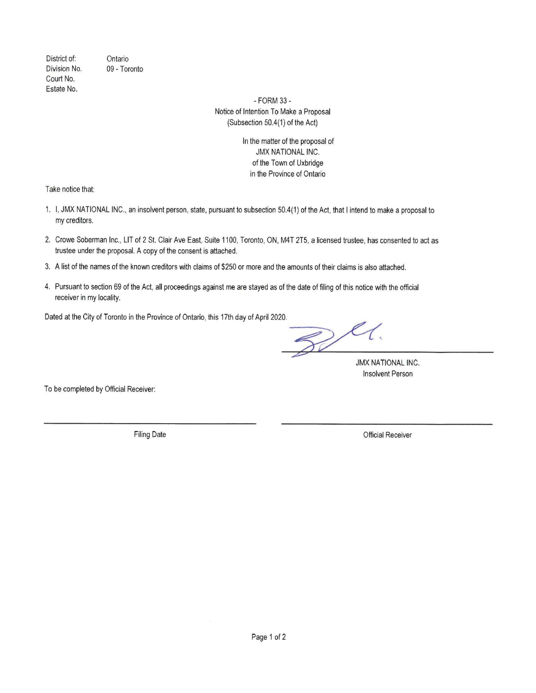District of: Ontario Division No. 09 - Toronto Court No. Estate No.

> - FORM 33 -Notice of Intention To Make a Proposal (Subsection 50.4(1) of the Act)

> > In the matter of the proposal of **JMX NATIONAL INC.** of the Town of Uxbridge in the Province of Ontario

Take notice that:

- 1. I, JMX NATIONAL INC., an insolvent person, state, pursuant to subsection 50.4(1) of the Act, that I intend to make a proposal to my creditors.
- 2. Crowe Soberman Inc., LIT of 2 St. Clair Ave East, Suite 1100, Toronto, ON, M4T 2T5, a licensed trustee, has consented to act as trustee under the proposal. A copy of the consent is attached.
- 3. A list of the names of the known creditors with claims of \$250 or more and the amounts of their claims is also attached.
- 4. Pursuant to section 69 of the Act, all proceedings against me are stayed as of the date of filing of this notice with the official receiver in my locality.

Dated at the City of Toronto in the Province of Ontario, this 17th day of April 2020.

 $\mathbb{Z}$ 

**JMX NATIONAL INC. Insolvent Person** 

To be completed by Official Receiver:

**Filing Date** 

**Official Receiver**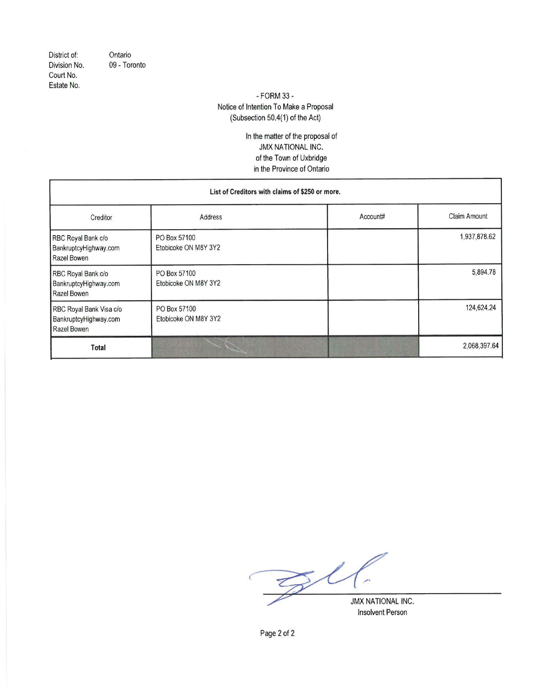District of: Division No. Court No. Estate No.

Ontario 09 - Toronto

#### - FORM 33 -Notice of Intention To Make a Proposal (Subsection 50.4(1) of the Act)

In the matter of the proposal of JMX NATIONAL INC. of the Town of Uxbridge in the Province of Ontario

| List of Creditors with claims of \$250 or more.                 |                                      |          |                     |  |
|-----------------------------------------------------------------|--------------------------------------|----------|---------------------|--|
| Creditor                                                        | Address                              | Account# | <b>Claim Amount</b> |  |
| RBC Royal Bank c/o<br>BankruptcyHighway.com<br>Razel Bowen      | PO Box 57100<br>Etobicoke ON M8Y 3Y2 |          | 1,937,878.62        |  |
| RBC Royal Bank c/o<br>BankruptcyHighway.com<br>Razel Bowen      | PO Box 57100<br>Etobicoke ON M8Y 3Y2 |          | 5,894.78            |  |
| RBC Royal Bank Visa c/o<br>BankruptcyHighway.com<br>Razel Bowen | PO Box 57100<br>Etobicoke ON M8Y 3Y2 |          | 124,624.24          |  |
| Total                                                           |                                      |          | 2,068,397.64        |  |

P  $\mathcal{Z}^{\ell}$ JMX NATIONAL INC.

**Insolvent Person** 

Page 2 of 2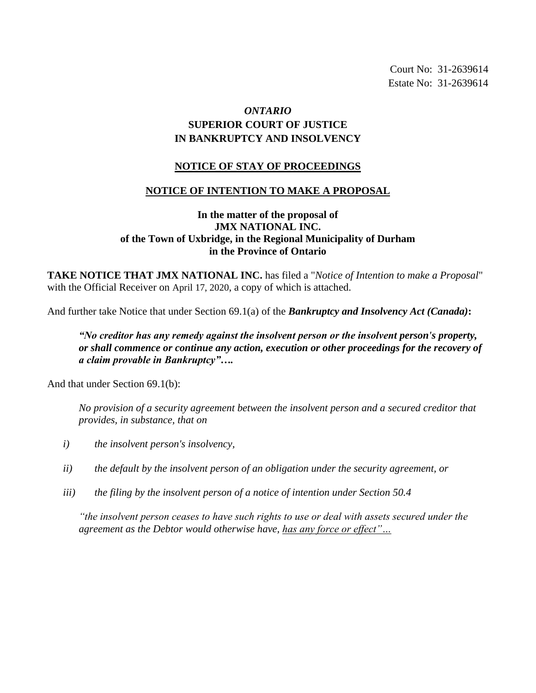Court No: 31-2639614 Estate No: 31-2639614

## *ONTARIO* **SUPERIOR COURT OF JUSTICE IN BANKRUPTCY AND INSOLVENCY**

### **NOTICE OF STAY OF PROCEEDINGS**

#### **NOTICE OF INTENTION TO MAKE A PROPOSAL**

### **In the matter of the proposal of JMX NATIONAL INC. of the Town of Uxbridge, in the Regional Municipality of Durham in the Province of Ontario**

**TAKE NOTICE THAT JMX NATIONAL INC.** has filed a "*Notice of Intention to make a Proposal*" with the Official Receiver on April 17, 2020, a copy of which is attached.

And further take Notice that under Section 69.1(a) of the *Bankruptcy and Insolvency Act (Canada)***:**

*"No creditor has any remedy against the insolvent person or the insolvent person's property, or shall commence or continue any action, execution or other proceedings for the recovery of a claim provable in Bankruptcy"….*

And that under Section 69.1(b):

*No provision of a security agreement between the insolvent person and a secured creditor that provides, in substance, that on*

- *i) the insolvent person's insolvency,*
- *ii) the default by the insolvent person of an obligation under the security agreement, or*
- *iii) the filing by the insolvent person of a notice of intention under Section 50.4*

*"the insolvent person ceases to have such rights to use or deal with assets secured under the agreement as the Debtor would otherwise have, has any force or effect"…*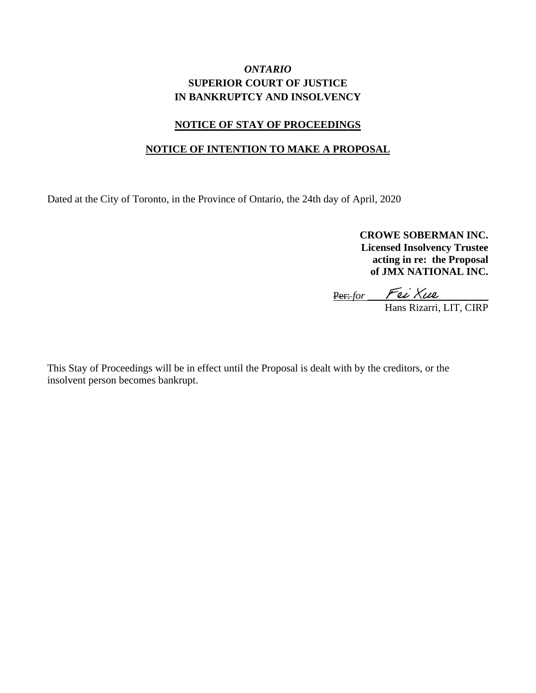### *ONTARIO* **SUPERIOR COURT OF JUSTICE IN BANKRUPTCY AND INSOLVENCY**

### **NOTICE OF STAY OF PROCEEDINGS**

#### **NOTICE OF INTENTION TO MAKE A PROPOSAL**

Dated at the City of Toronto, in the Province of Ontario, the 24th day of April, 2020

**CROWE SOBERMAN INC. Licensed Insolvency Trustee acting in re: the Proposal of JMX NATIONAL INC.**

<u>Per:-for Fec Xue</u>

Hans Rizarri, LIT, CIRP

This Stay of Proceedings will be in effect until the Proposal is dealt with by the creditors, or the insolvent person becomes bankrupt.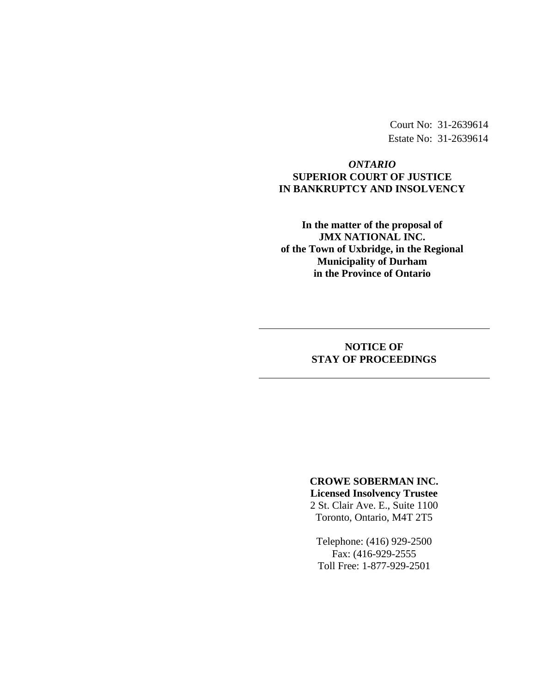Court No: 31-2639614 Estate No: 31-2639614

### *ONTARIO* **SUPERIOR COURT OF JUSTICE IN BANKRUPTCY AND INSOLVENCY**

**In the matter of the proposal of JMX NATIONAL INC. of the Town of Uxbridge, in the Regional Municipality of Durham in the Province of Ontario**

### **NOTICE OF STAY OF PROCEEDINGS**

# **CROWE SOBERMAN INC. Licensed Insolvency Trustee** 2 St. Clair Ave. E., Suite 1100

Toronto, Ontario, M4T 2T5

Telephone: (416) 929-2500 Fax: (416-929-2555 Toll Free: 1-877-929-2501